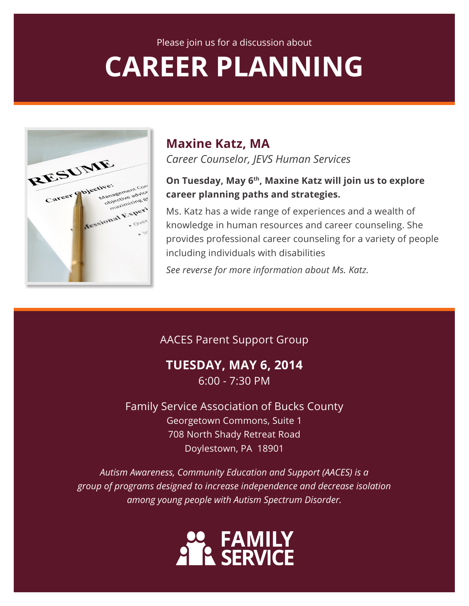# **CAREER PLANNING**



## **Maxine Katz, MA**

*Career Counselor, JEVS Human Services*

#### **On Tuesday, May 6th, Maxine Katz will join us to explore career planning paths and strategies.**

Ms. Katz has a wide range of experiences and a wealth of knowledge in human resources and career counseling. She provides professional career counseling for a variety of people including individuals with disabilities

*See reverse for more information about Ms. Katz.*

### AACES Parent Support Group

**TUESDAY, MAY 6, 2014** 6:00 - 7:30 PM

Family Service Association of Bucks County Georgetown Commons, Suite 1 708 North Shady Retreat Road Doylestown, PA 18901

*Autism Awareness, Community Education and Support (AACES) is a group of programs designed to increase independence and decrease isolation among young people with Autism Spectrum Disorder.*